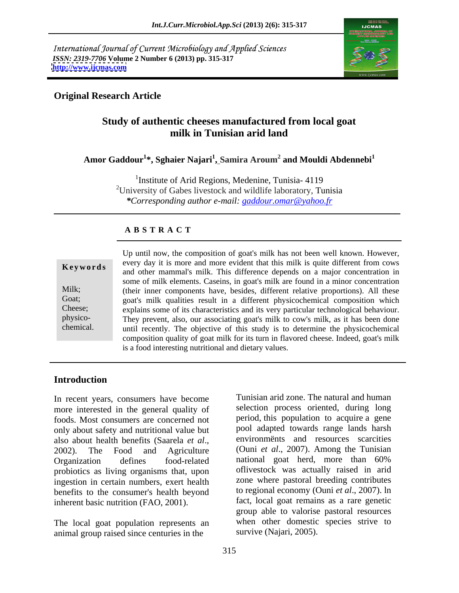International Journal of Current Microbiology and Applied Sciences *ISSN: 2319-7706* **Volume 2 Number 6 (2013) pp. 315-317 <http://www.ijcmas.com>**



## **Original Research Article**

# **Study of authentic cheeses manufactured from local goat milk in Tunisian arid land**

**Amor Gaddour<sup>1</sup> \*, Sghaier Najari<sup>1</sup> , Samira Aroum<sup>2</sup> and Mouldi Abdennebi<sup>1</sup>**

<sup>1</sup>Institute of Arid Regions, Medenine, Tunisia- 4119 2University of Gabes livestock and wildlife laboratory, Tunisia *\*Corresponding author e-mail: gaddour.omar@yahoo.fr*

#### **A B S T R A C T**

**Keywords** every day it is more and more evident that this milk is quite different from cows and other mammal's milk. This difference depends on a major concentration in Milk; (their inner components have, besides, different relative proportions). All these Goat; goat's milk qualities result in a different physicochemical composition which Cheese; explains some of its characteristics and its very particular technological behaviour. physico- They prevent, also, our associating goat's milk to cow's milk, as it has been done chemical. until recently. The objective of this study is to determine the physicochemical Up until now, the composition of goat's milk has not been well known. However, every day it is more and more evident that this milk is quite different from cows some of milk elements. Caseins, in goat's milk are found in a minor concentration composition quality of goat milk for its turn in flavored cheese. Indeed, goat's milk is a food interesting nutritional and dietary values.

### **Introduction**

In recent years, consumers have become more interested in the general quality of foods. Most consumers are concerned not only about safety and nutritional value but Organization defines food-related national goat herd, more than 60% probiotics as living organisms that, upon ingestion in certain numbers, exert health benefits to the consumer's health beyond inherent basic nutrition (FAO, 2001).

The local goat population represents an animal group raised since centuries in the

also about health benefits (Saarela *et al.*, environments and resources scarcities 2002). The Food and Agriculture (Ouni *et al.*, 2007). Among the Tunisian Tunisian arid zone. The natural and human selection process oriented, during long period, this population to acquire a gene pool adapted towards range lands harsh environmënts and resources scarcities (Ouni *et al*., 2007).Among the Tunisian national goat herd, more than 60% oflivestock was actually raised in arid zone where pastoral breeding contributes to regional economy (Ouni *et al*., 2007). ln fact, local goat remains as a rare genetic group able to valorise pastoral resources when other domestic species strive to survive (Najari, 2005).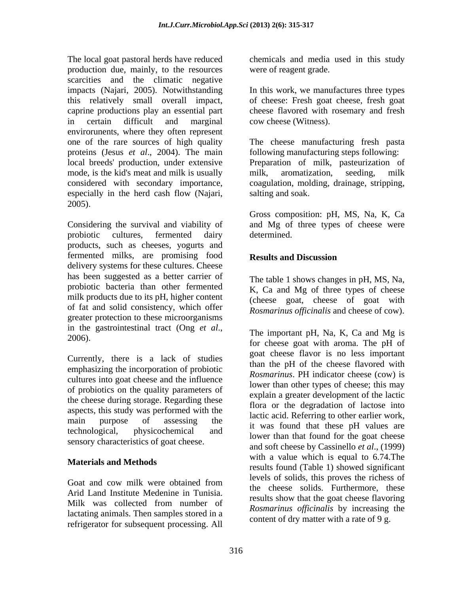The local goat pastoral herds have reduced production due, mainly, to the resources scarcities and the climatic negative impacts (Najari, 2005). Notwithstanding In this work, we manufactures three types this relatively small overall impact, of cheese: Fresh goat cheese, fresh goat caprine productions play an essential part cheese flavored with rosemary and fresh in certain difficult and marginal envirorunents, where they often represent proteins (Jesus *et al*., 2004). The main mode, is the kid's meat and milk is usually milk, aromatization, seeding, milk especially in the herd cash flow (Najari, 2005).

Considering the survival and viability of and Mg of three types of cheese were probiotic cultures, fermented dairy determined. products, such as cheeses, yogurts and fermented milks, are promising food delivery systems for these cultures. Cheese has been suggested as a better carrier of probiotic bacteria than other fermented milk products due to its pH, higher content of fat and solid consistency, which offer greater protection to these microorganisms in the gastrointestinal tract (Ong *et al.*,<br>2006).<br>for shapes goet with groms. The r<sub>al</sub>l of

Currently, there is a lack of studies emphasizing the incorporation of probiotic cultures into goat cheese and the influence of probiotics on the quality parameters of the cheese during storage. Regarding these aspects, this study was performed with the sensory characteristics of goat cheese.

Arid Land Institute Medenine in Tunisia. lactating animals. Then samples stored in a refrigerator for subsequent processing. All

chemicals and media used in this study were of reagent grade.

cow cheese (Witness).

one of the rare sources of high quality The cheese manufacturing fresh pasta local breeds' production, under extensive Preparation of milk, pasteurization of considered with secondary importance, coagulation, molding, drainage, stripping, following manufacturing steps following: milk, aromatization, seeding, milk salting and soak.

> Gross composition: pH, MS, Na, K, Ca determined.

#### **Results and Discussion**

The table 1 shows changes in pH, MS, Na, K, Ca and Mg of three types of cheese (cheese goat, cheese of goat with *Rosmarinus officinalis* and cheese of cow).

main purpose of assessing the factor conditionship to other cannot work, technological, physicochemical and her than that these privates are **Materials and Methods**<br>
results found (Table 1) showed significant Goat and cow milk were obtained from the shares solide. Even we there there Milk was collected from number of  $\sum_{R \in \mathbb{N}} P_{\text{sum}}$  is a show that the goal checke havoing The important pH, Na, K, Ca and Mg is for cheese goat with aroma. The pH of goat cheese flavor is no less important than the pH of the cheese flavored with *Rosmarinus*. PH indicator cheese (cow) is lower than other types of cheese; this may explain a greater development of the lactic flora or the degradation of lactose into lactic acid. Referring to other earlier work, it was found that these pH values are lower than that found for the goat cheese and soft cheese by Cassinello *et al*., (1999) with a value which is equal to 6.74.The levels of solids, this proves the richess of the cheese solids. Furthermore, these results show that the goat cheese flavoring *Rosmarinus of icinalis* by increasing the content of dry matter with a rate of 9 g.